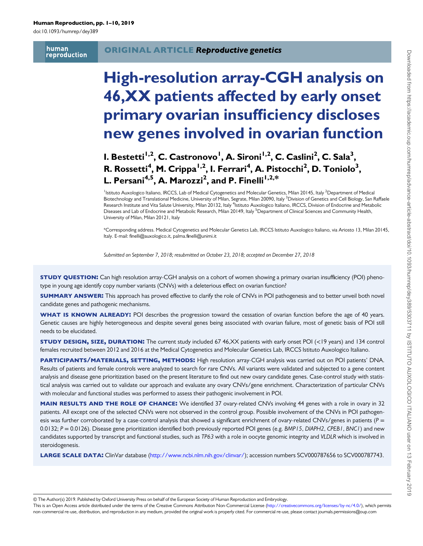doi:10.1093/humrep/dey389

human reproduction

# High-resolution array-CGH analysis on 46,XX patients affected by early onset primary ovarian insufficiency discloses new genes involved in ovarian function

# I. Bestetti<sup>1,2</sup>, C. Castronovo<sup>1</sup>, A. Sironi<sup>1,2</sup>, C. Caslini<sup>2</sup>, C. Sala<sup>3</sup>, R. Rossetti $^4$ , M. Crippa $^{1,2}$ , I. Ferrari $^4$ , A. Pistocchi $^2$ , D. Toniolo $^3$ , L. Persani $^{4,5}$ , A. Marozzi $^2$ , and P. Finelli $^{1,2,\ast}$

<sup>1</sup>Istituto Auxologico Italiano, IRCCS, Lab of Medical Cytogenetics and Molecular Genetics, Milan 20145, Italy <sup>2</sup>Department of Medical Biotechnology and Translational Medicine, University of Milan, Segrate, Milan 20090, Italy <sup>3</sup>Division of Genetics and Cell Biology, San Raffaele Research Institute and Vita Salute University, Milan 20132, Italy <sup>4</sup>Istituto Auxologico Italiano, IRCCS, Division of Endocrine and Metabolic Diseases and Lab of Endocrine and Metabolic Research, Milan 20149, Italy <sup>5</sup>Department of Clinical Sciences and Community Health, University of Milan, Milan 20121, Italy

\*Corresponding address. Medical Cytogenetics and Molecular Genetics Lab, IRCCS Istituto Auxologico Italiano, via Ariosto 13, Milan 20145, Italy. E-mail: finelli@auxologico.it, palma.finelli@unimi.it

Submitted on September 7, 2018; resubmitted on October 23, 2018; accepted on December 27, 2018

**STUDY QUESTION:** Can high resolution array-CGH analysis on a cohort of women showing a primary ovarian insufficiency (POI) phenotype in young age identify copy number variants (CNVs) with a deleterious effect on ovarian function?

**SUMMARY ANSWER:** This approach has proved effective to clarify the role of CNVs in POI pathogenesis and to better unveil both novel candidate genes and pathogenic mechanisms.

WHAT IS KNOWN ALREADY: POI describes the progression toward the cessation of ovarian function before the age of 40 years. Genetic causes are highly heterogeneous and despite several genes being associated with ovarian failure, most of genetic basis of POI still needs to be elucidated.

STUDY DESIGN, SIZE, DURATION: The current study included 67 46,XX patients with early onset POI (<19 years) and 134 control females recruited between 2012 and 2016 at the Medical Cytogenetics and Molecular Genetics Lab, IRCCS Istituto Auxologico Italiano.

PARTICIPANTS/MATERIALS, SETTING, METHODS: High resolution array-CGH analysis was carried out on POI patients' DNA. Results of patients and female controls were analyzed to search for rare CNVs. All variants were validated and subjected to a gene content analysis and disease gene prioritization based on the present literature to find out new ovary candidate genes. Case-control study with statistical analysis was carried out to validate our approach and evaluate any ovary CNVs/gene enrichment. Characterization of particular CNVs with molecular and functional studies was performed to assess their pathogenic involvement in POI.

MAIN RESULTS AND THE ROLE OF CHANCE: We identified 37 ovary-related CNVs involving 44 genes with a role in ovary in 32 patients. All except one of the selected CNVs were not observed in the control group. Possible involvement of the CNVs in POI pathogenesis was further corroborated by a case-control analysis that showed a significant enrichment of ovary-related CNVs/genes in patients ( $P =$ 0.0132;  $P = 0.0126$ ). Disease gene prioritization identified both previously reported POI genes (e.g. BMP15, DIAPH2, CPEB1, BNC1) and new candidates supported by transcript and functional studies, such as TP63 with a role in oocyte genomic integrity and VLDLR which is involved in steroidogenesis.

LARGE SCALE DATA: ClinVar database [\(http://www.ncbi.nlm.nih.gov/clinvar/](http://www.ncbi.nlm.nih.gov/clinvar/)); accession numbers SCV000787656 to SCV000787743.

© The Author(s) 2019. Published by Oxford University Press on behalf of the European Society of Human Reproduction and Embryology.

This is an Open Access article distributed under the terms of the Creative Commons Attribution Non-Commercial License [\(http://creativecommons.org/licenses/by-nc/4.0/](http://creativecommons.org/licenses/by-nc/4.0/)), which permits non-commercial re-use, distribution, and reproduction in any medium, provided the original work is properly cited. For commercial re-use, please contact journals.permissions@oup.com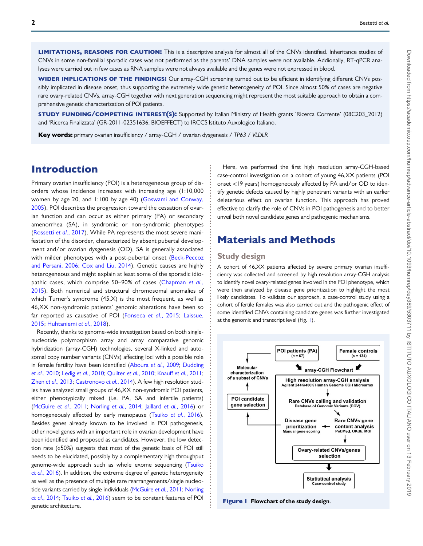LIMITATIONS, REASONS FOR CAUTION: This is a descriptive analysis for almost all of the CNVs identified. Inheritance studies of CNVs in some non-familial sporadic cases was not performed as the parents' DNA samples were not available. Addionally, RT-qPCR analyses were carried out in few cases as RNA samples were not always available and the genes were not expressed in blood.

WIDER IMPLICATIONS OF THE FINDINGS: Our array-CGH screening turned out to be efficient in identifying different CNVs possibly implicated in disease onset, thus supporting the extremely wide genetic heterogeneity of POI. Since almost 50% of cases are negative rare ovary-related CNVs, array-CGH together with next generation sequencing might represent the most suitable approach to obtain a comprehensive genetic characterization of POI patients.

STUDY FUNDING/COMPETING INTEREST(S): Supported by Italian Ministry of Health grants 'Ricerca Corrente' (08C203\_2012) and 'Ricerca Finalizzata' (GR-2011-02351636, BIOEFFECT) to IRCCS Istituto Auxologico Italiano.

Key words: primary ovarian insufficiency / array-CGH / ovarian dysgenesis / TP63 / VLDLR

# Introduction

Primary ovarian insufficiency (POI) is a heterogeneous group of disorders whose incidence increases with increasing age (1:10,000 women by age 20, and 1:100 by age 40) ([Goswami and Conway,](#page-8-0) [2005](#page-8-0)). POI describes the progression toward the cessation of ovarian function and can occur as either primary (PA) or secondary amenorrhea (SA), in syndromic or non-syndromic phenotypes [\(Rossetti](#page-9-0) et al., 2017). While PA represents the most severe manifestation of the disorder, characterized by absent pubertal development and/or ovarian dysgenesis (OD), SA is generally associated with milder phenotypes with a post-pubertal onset ([Beck-Peccoz](#page-8-0) [and Persani, 2006](#page-8-0); [Cox and Liu, 2014\)](#page-8-0). Genetic causes are highly heterogeneous and might explain at least some of the sporadic idio-pathic cases, which comprise 50-90% of cases ([Chapman](#page-8-0) et al., [2015](#page-8-0)). Both numerical and structural chromosomal anomalies of which Turner's syndrome (45,X) is the most frequent, as well as 46,XX non-syndromic patients' genomic alterations have been so far reported as causative of POI [\(Fonseca](#page-8-0) et al., 2015; [Laissue,](#page-9-0) [2015](#page-9-0); [Huhtaniemi](#page-8-0) et al., 2018).

Recently, thanks to genome-wide investigation based on both singlenucleotide polymorphism array and array comparative genomic hybridization (array-CGH) technologies, several X-linked and autosomal copy number variants (CNVs) affecting loci with a possible role in female fertility have been identified [\(Aboura](#page-8-0) et al., 2009; [Dudding](#page-8-0) et al.[, 2010](#page-8-0); Ledig et al.[, 2010;](#page-9-0) [Quilter](#page-9-0) et al., 2010; Knauff et al.[, 2011;](#page-9-0) Zhen et al.[, 2013](#page-9-0); [Castronovo](#page-8-0) et al., 2014). A few high resolution studies have analyzed small groups of 46,XX non-syndromic POI patients, either phenotypically mixed (i.e. PA, SA and infertile patients) [\(McGuire](#page-9-0) et al., 2011; [Norling](#page-9-0) et al., 2014; Jaillard et al.[, 2016\)](#page-9-0) or homogeneously affected by early menopause (Tsuiko et al.[, 2016\)](#page-9-0). Besides genes already known to be involved in POI pathogenesis, other novel genes with an important role in ovarian development have been identified and proposed as candidates. However, the low detection rate («50%) suggests that most of the genetic basis of POI still needs to be elucidated, possibly by a complementary high throughput genome-wide approach such as whole exome sequencing ([Tsuiko](#page-9-0) et al.[, 2016\)](#page-9-0). In addition, the extreme degree of genetic heterogeneity as well as the presence of multiple rare rearrangements/single nucleo-tide variants carried by single individuals [\(McGuire](#page-9-0) et al., 2011; [Norling](#page-9-0) et al.[, 2014](#page-9-0); [Tsuiko](#page-9-0) et al., 2016) seem to be constant features of POI genetic architecture.

Here, we performed the first high resolution array-CGH-based case-control investigation on a cohort of young 46,XX patients (POI onset <19 years) homogeneously affected by PA and/or OD to identify genetic defects caused by highly penetrant variants with an earlier deleterious effect on ovarian function. This approach has proved effective to clarify the role of CNVs in POI pathogenesis and to better unveil both novel candidate genes and pathogenic mechanisms.

# Materials and Methods

### Study design

A cohort of 46,XX patients affected by severe primary ovarian insufficiency was collected and screened by high resolution array-CGH analysis to identify novel ovary-related genes involved in the POI phenotype, which were then analyzed by disease gene prioritization to highlight the most likely candidates. To validate our approach, a case-control study using a cohort of fertile females was also carried out and the pathogenic effect of some identified CNVs containing candidate genes was further investigated at the genomic and transcript level (Fig. 1).



Figure 1 Flowchart of the study design.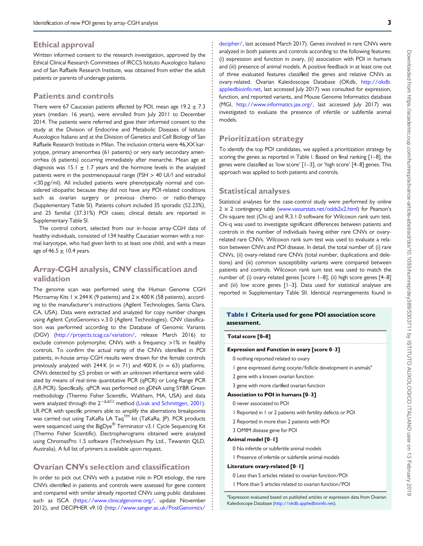### <span id="page-2-0"></span>Ethical approval

Written informed consent to the research investigation, approved by the Ethical Clinical Research Committees of IRCCS Istituto Auxologico Italiano and of San Raffaele Research Institute, was obtained from either the adult patients or parents of underage patients.

### Patients and controls

There were 67 Caucasian patients affected by POI, mean age  $19.2 \pm 7.3$ years (median: 16 years), were enrolled from July 2011 to December 2014. The patients were referred and gave their informed consent to the study at the Division of Endocrine and Metabolic Diseases of Istituto Auxologico Italiano and at the Division of Genetics and Cell Biology of San Raffaele Research Institute in Milan. The inclusion criteria were 46,XX karyotype, primary amenorrhea (61 patients) or very early secondary amenorrhea (6 patients) occurring immediately after menarche. Mean age at diagnosis was 15.1  $\pm$  1.7 years and the hormone levels in the analyzed patients were in the postmenopausal range (FSH > 40 UI/l and estradiol <30 pg/ml). All included patients were phenotypically normal and considered idiopathic because they did not have any POI-related conditions such as ovarian surgery or previous chemo- or radio-therapy (Supplementary Table SI). Patients cohort included 35 sporadic (52.23%), and 25 familial (37.31%) POI cases; clinical details are reported in Supplementary Table SI.

The control cohort, selected from our in-house array-CGH data of healthy individuals, consisted of 134 healthy Caucasian women with a normal karyotype, who had given birth to at least one child, and with a mean age of 46.5  $\pm$  10.4 years.

### Array-CGH analysis, CNV classification and validation

The genome scan was performed using the Human Genome CGH Microarray Kits 1  $\times$  244 K (9 patients) and 2  $\times$  400 K (58 patients), according to the manufacturer's instructions (Agilent Technologies, Santa Clara, CA, USA). Data were extracted and analyzed for copy number changes using Agilent CytoGenomics v.3.0 (Agilent Technologies). CNV classification was performed according to the Database of Genomic Variants (DGV) (<http://projects.tcag.ca/variation/>, release March 2016) to exclude common polymorphic CNVs with a frequency >1% in healthy controls. To confirm the actual rarity of the CNVs identified in POI patients, in-house array-CGH results were drawn for the female controls previously analyzed with 244 K ( $n = 71$ ) and 400 K ( $n = 63$ ) platforms. CNVs detected by ≤5 probes or with an unknown inheritance were validated by means of real-time quantitative PCR (qPCR) or Long-Range PCR (LR-PCR). Specifically, qPCR was performed on gDNA using SYBR Green methodology (Thermo Fisher Scientific, Waltham, MA, USA) and data were analyzed through the 2<sup>-ΔΔCt</sup> method ([Livak and Schmittgen, 2001\)](#page-9-0). LR-PCR with specific primers able to amplify the aberrations breakpoints was carried out using TaKaRa LA Taq<sup>TM</sup> kit (TaKaRa, JP). PCR products were sequenced using the BigDye® Terminator v3.1 Cycle Sequencing Kit (Thermo Fisher Scientific). Electropherograms obtained were analyzed using ChromasPro 1.5 software (Technelysium Pty Ltd., Tewantin QLD, Australia). A full list of primers is available upon request.

### Ovarian CNVs selection and classification

In order to pick out CNVs with a putative role in POI etiology, the rare CNVs identified in patients and controls were assessed for gene content and compared with similar already reported CNVs using public databases such as ISCA (<https://www.clinicalgenome.org/>, update November 2012), and DECIPHER v9.10 [\(http://www.sanger.ac.uk/PostGenomics/](http://www.sanger.ac.uk/PostGenomics/decipher/)

[decipher/](http://www.sanger.ac.uk/PostGenomics/decipher/), last accessed March 2017). Genes involved in rare CNVs were analyzed in both patients and controls according to the following features: (i) expression and function in ovary, (ii) association with POI in humans and (iii) presence of animal models. A positive feedback in at least one out of three evaluated features classified the genes and relative CNVs as ovary-related. Ovarian Kaleidoscope Database (OKdb, [http://okdb.](http://okdb.appliedbioinfo.net) [appliedbioinfo.net,](http://okdb.appliedbioinfo.net) last accessed July 2017) was consulted for expression, function, and reported variants, and Mouse Genome Informatics database (MGI, <http://www.informatics.jax.org/>, last accessed July 2017) was investigated to evaluate the presence of infertile or subfertile animal models.

### Prioritization strategy

To identify the top POI candidates, we applied a prioritization strategy by scoring the genes as reported in Table I. Based on final ranking [1-8], the genes were classified as 'low score' [1–3], or 'high score' [4–8] genes. This approach was applied to both patients and controls.

#### Statistical analyses

Statistical analyses for the case-control study were performed by online  $2 \times 2$  contingency table ([www.vassarstats.net/odds2x2.html\)](http://www.vassarstats.net/odds2x2.html) for Pearson's Chi-square test (Chi-q) and R.3.1.0 software for Wilcoxon rank sum test. Chi-q was used to investigate significant differences between patients and controls in the number of individuals having either rare CNVs or ovaryrelated rare CNVs. Wilcoxon rank sum test was used to evaluate a relation between CNVs and POI disease. In detail, the total number of: (i) rare CNVs, (ii) ovary-related rare CNVs (total number, duplications and deletions) and (iii) common susceptibility variants were compared between patients and controls. Wilcoxon rank sum test was used to match the number of: (i) ovary-related genes [score 1–8], (ii) high score genes [4–8] and (iii) low score genes [1–3]. Data used for statistical analyses are reported in Supplementary Table SII. Identical rearrangements found in

#### Table I Criteria used for gene POI association score assessment.

#### ........................................................................................ Total score [0–8]

#### Expression and Function in ovary [score 0–3]

0 nothing reported related to ovary

- 1 gene expressed during oocyte/follicle development in animals<sup>a</sup>
- 2 gene with a known ovarian function
- 3 gene with more clarified ovarian function

#### Association to POI in humans [0–3]

0 never associated to POI

- 1 Reported in 1 or 2 patients with fertility defects or POI
- 2 Reported in more than 2 patients with POI
- 3 OMIM disease gene for POI

#### Animal model [0–1]

0 No infertile or subfertile animal models

1 Presence of infertile or subfertile animal models

#### Literature ovary-related [0–1]

0 Less than 5 articles related to ovarian function/POI

1 More than 5 articles related to ovarian function/POI

<sup>a</sup> Expression evaluated based on published articles or expression data from Ovarian Kaleidoscope Database ([http://okdb.appliedbioinfo.net\)](http://okdb.appliedbioinfo.net).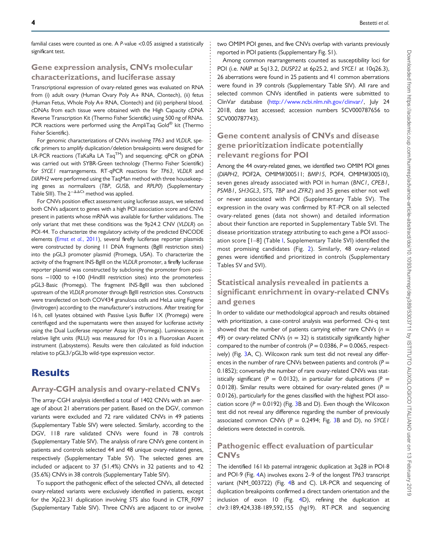familial cases were counted as one. A P-value <0.05 assigned a statistically significant test.

### Gene expression analysis, CNVs molecular characterizations, and luciferase assay

Transcriptional expression of ovary-related genes was evaluated on RNA from (i) adult ovary (Human Ovary Poly A+ RNA, Clontech), (ii) fetus (Human Fetus, Whole Poly A+ RNA, Clontech) and (iii) peripheral blood. cDNAs from each tissue were obtained with the High Capacity cDNA Reverse Transcription Kit (Thermo Fisher Scientific) using 500 ng of RNAs. PCR reactions were performed using the AmpliTaq Gold<sup>®</sup> kit (Thermo Fisher Scientific).

For genomic characterizations of CNVs involving TP63 and VLDLR, specific primers to amplify duplication/deletion breakpoints were designed for LR-PCR reactions (TaKaRa LA Taq™) and sequencing; qPCR on gDNA was carried out with SYBR-Green technology (Thermo Fisher Scientific) for SYCE1 rearrangements. RT-qPCR reactions for TP63, VLDLR and DIAPH2 were performed using the TaqMan method with three housekeeping genes as normalizers (TBP, GUSB, and RPLP0) (Supplementary Table SIII). The  $2^{-\Delta\Delta Ct}$  method was applied.

For CNVs position effect assessment using luciferase assays, we selected both CNVs adjacent to genes with a high POI association score and CNVs present in patients whose mRNA was available for further validations. The only variant that met these conditions was the 9p24.2 CNV (VLDLR) on POI-44. To characterize the regulatory activity of the predicted ENCODE elements (Ernst et al.[, 2011](#page-8-0)), several firefly luciferase reporter plasmids were constructed by cloning 11 DNA fragments (Bglll restriction sites) into the pGL3 promoter plasmid (Promega, USA). To characterize the activity of the fragment INS-BglII on the VLDLR promoter, a firefly luciferase reporter plasmid was constructed by subcloning the promoter from positions −1000 to +100 (HindIII restriction sites) into the promoterless pGL3-Basic (Promega). The fragment INS-BglII was then subcloned upstream of the VLDLR promoter through BglII restriction sites. Constructs were transfected on both COV434 granulosa cells and HeLa using Fugene (Invitrogen) according to the manufacturer's instructions. After treating for 16 h, cell lysates obtained with Passive Lysis Buffer 1X (Promega) were centrifuged and the supernatants were then assayed for luciferase activity using the Dual Luciferase reporter Assay kit (Promega). Luminescence in relative light units (RLU) was measured for 10 s in a Fluoroskan Ascent instrument (Labsystems). Results were then calculated as fold induction relative to pGL3/pGL3b wild-type expression vector.

# **Results**

### Array-CGH analysis and ovary-related CNVs

The array-CGH analysis identified a total of 1402 CNVs with an average of about 21 aberrations per patient. Based on the DGV, common variants were excluded and 72 rare validated CNVs in 49 patients (Supplementary Table SIV) were selected. Similarly, according to the DGV, 118 rare validated CNVs were found in 78 controls (Supplementary Table SIV). The analysis of rare CNVs gene content in patients and controls selected 44 and 48 unique ovary-related genes, respectively (Supplementary Table SV). The selected genes are included or adjacent to 37 (51.4%) CNVs in 32 patients and to 42 (35.6%) CNVs in 38 controls (Supplementary Table SIV).

To support the pathogenic effect of the selected CNVs, all detected ovary-related variants were exclusively identified in patients, except for the Xp22.31 duplication involving STS also found in CTR\_F097 (Supplementary Table SIV). Three CNVs are adjacent to or involve

two OMIM POI genes, and five CNVs overlap with variants previously reported in POI patients (Supplementary Fig. S1).

Among common rearrangements counted as susceptibility loci for POI (i.e. NAIP at 5q13.2, DUSP22 at 6p25.2, and SYCE1 at 10q26.3), 26 aberrations were found in 25 patients and 41 common aberrations were found in 39 controls (Supplementary Table SIV). All rare and selected common CNVs identified in patients were submitted to ClinVar database ([http://www.ncbi.nlm.nih.gov/clinvar/,](http://www.ncbi.nlm.nih.gov/clinvar/) July 24 2018, date last accessed; accession numbers SCV000787656 to SCV000787743).

### Gene content analysis of CNVs and disease gene prioritization indicate potentially relevant regions for POI

Among the 44 ovary-related genes, we identified two OMIM POI genes (DIAPH2, POF2A, OMIM#300511; BMP15, POF4, OMIM#300510), seven genes already associated with POI in human (BNC1, CPEB1, PSMB1, SH3GL3, STS, TBP and ZFR2) and 35 genes either not well or never associated with POI (Supplementary Table SV). The expression in the ovary was confirmed by RT-PCR on all selected ovary-related genes (data not shown) and detailed information about their function are reported in Supplementary Table SVI. The disease prioritization strategy attributing to each gene a POI association score [1–8] (Table [I,](#page-2-0) Supplementary Table SVI) identified the most promising candidates (Fig. [2\)](#page-4-0). Similarly, 48 ovary-related genes were identified and prioritized in controls (Supplementary Tables SV and SVI).

# Statistical analysis revealed in patients a significant enrichment in ovary-related CNVs and genes

In order to validate our methodological approach and results obtained with prioritization, a case-control analysis was performed. Chi-q test showed that the number of patients carrying either rare CNVs  $(n =$ 49) or ovary-related CNVs ( $n = 32$ ) is statistically significantly higher compared to the number of controls ( $P = 0.0386$ ,  $P = 0.0065$ , respectively) (Fig. [3](#page-4-0)A, C). Wilcoxon rank sum test did not reveal any differences in the number of rare CNVs between patients and controls ( $P =$ 0.1852); conversely the number of rare ovary-related CNVs was statistically significant ( $P = 0.0132$ ), in particular for duplications ( $P =$ 0.0128). Similar results were obtained for ovary-related genes ( $P =$ 0.0126), particularly for the genes classified with the highest POI association score ( $P = 0.0192$ ) (Fig. [3B](#page-4-0) and D). Even though the Wilcoxon test did not reveal any difference regarding the number of previously associated common CNVs ( $P = 0.2494$ ; Fig. [3B](#page-4-0) and D), no SYCE1 deletions were detected in controls.

### Pathogenic effect evaluation of particular **CNVs**

The identified 161 kb paternal intragenic duplication at 3q28 in POI-8 and POI-9 (Fig. [4A](#page-5-0)) involves exons 2–9 of the longest TP63 transcript variant (NM\_003722) (Fig. [4B](#page-5-0) and C). LR-PCR and sequencing of duplication breakpoints confirmed a direct tandem orientation and the inclusion of exon 10 (Fig. [4D](#page-5-0)), refining the duplication at chr3:189,424,338-189,592,155 (hg19). RT-PCR and sequencing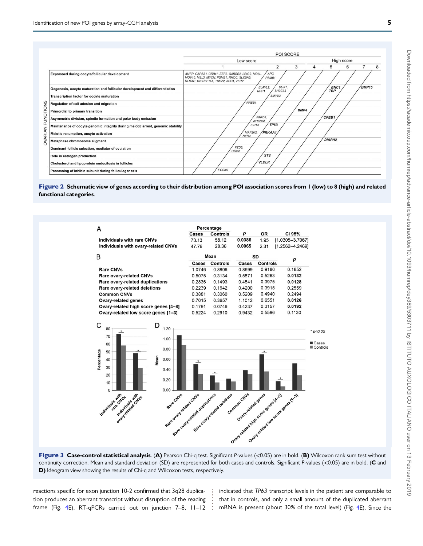<span id="page-4-0"></span>

Figure 2 Schematic view of genes according to their distribution among POI association scores from 1 (low) to 8 (high) and related functional categories.



Figure 3 Case-control statistical analysis. (A) Pearson Chi-q test. Significant P-values (<0.05) are in bold. (B) Wilcoxon rank sum test without continuity correction. Mean and standard deviation (SD) are represented for both cases and controls. Significant P-values (<0.05) are in bold. (C and D) Ideogram view showing the results of Chi-q and Wilcoxon tests, respectively.

reactions specific for exon junction 10-2 confirmed that 3q28 duplication produces an aberrant transcript without disruption of the reading frame (Fig. [4E](#page-5-0)). RT-qPCRs carried out on junction 7–8, 11–12

indicated that TP63 transcript levels in the patient are comparable to that in controls, and only a small amount of the duplicated aberrant mRNA is present (about 30% of the total level) (Fig. [4E](#page-5-0)). Since the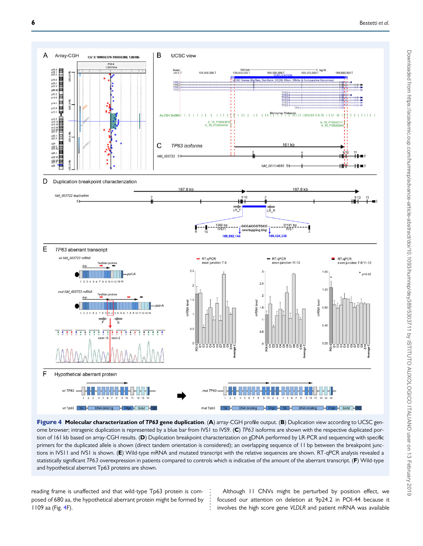<span id="page-5-0"></span>

Figure 4 Molecular characterization of TP63 gene duplication. (A) array-CGH profile output. (B) Duplication view according to UCSC genome browser; intragenic duplication is represented by a blue bar from IVS1 to IVS9. (C) TP63 isoforms are shown with the respective duplicated portion of 161 kb based on array-CGH results. (D) Duplication breakpoint characterization on gDNA performed by LR-PCR and sequencing with specific primers for the duplicated allele is shown (direct tandem orientation is considered); an overlapping sequence of 11 bp between the breakpoint junctions in IVS11 and IVS1 is shown. (E) Wild-type mRNA and mutated transcript with the relative sequences are shown. RT-qPCR analysis revealed a statistically significant TP63 overexpression in patients compared to controls which is indicative of the amount of the aberrant transcript. (F) Wild-type and hypothetical aberrant Tp63 proteins are shown.

reading frame is unaffected and that wild-type Tp63 protein is composed of 680 aa, the hypothetical aberrant protein might be formed by 1109 aa (Fig. 4F).

Although 11 CNVs might be perturbed by position effect, we focused our attention on deletion at 9p24.2 in POI-44 because it involves the high score gene VLDLR and patient mRNA was available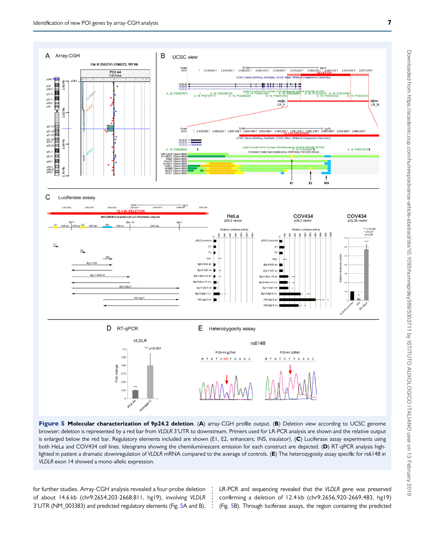<span id="page-6-0"></span>

Figure 5 Molecular characterization of 9p24.2 deletion. (A) array-CGH profile output. (B) Deletion view according to UCSC genome browser; deletion is represented by a red bar from VLDLR 3'UTR to downstream. Primers used for LR-PCR analysis are shown and the relative output is enlarged below the red bar. Regulatory elements included are shown (E1, E2, enhancers; INS, insulator). (C) Luciferase assay experiments using both HeLa and COV434 cell lines. Ideograms showing the chemiluminescent emission for each construct are depicted. (D) RT-qPCR analysis highlighted in patient a dramatic downregulation of VLDLR mRNA compared to the average of controls. ( $E$ ) The heterozygosity assay specific for rs6148 in VLDLR exon 14 showed a mono-allelic expression.

for further studies. Array-CGH analysis revealed a four-probe deletion of about 14.6 kb (chr9:2654,203-2668,811, hg19), involving VLDLR 3'UTR (NM\_003383) and predicted regulatory elements (Fig. 5A and B). LR-PCR and sequencing revealed that the VLDLR gene was preserved confirming a deletion of 12.4 kb (chr9:2656,920-2669,483, hg19) (Fig. 5B). Through luciferase assays, the region containing the predicted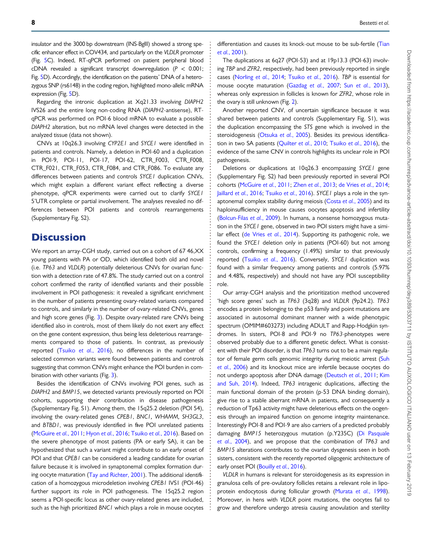insulator and the 3000 bp downstream (INS-BglII) showed a strong specific enhancer effect in COV434, and particularly on the VLDLR promoter (Fig. [5](#page-6-0)C). Indeed, RT-qPCR performed on patient peripheral blood cDNA revealed a significant transcript downregulation ( $P < 0.001$ ; Fig. [5D](#page-6-0)). Accordingly, the identification on the patients' DNA of a heterozygous SNP (rs6148) in the coding region, highlighted mono-allelic mRNA expression (Fig. [5](#page-6-0)D).

Regarding the intronic duplication at Xq21.33 involving DIAPH2 IVS26 and the entire long non-coding RNA (DIAPH2-antisense), RTqPCR was performed on POI-6 blood mRNA to evaluate a possible DIAPH2 alteration, but no mRNA level changes were detected in the analyzed tissue (data not shown).

CNVs at 10q26.3 involving CYP2E1 and SYCE1 were identified in patients and controls. Namely, a deletion in POI-60 and a duplication in POI-9, POI-11, POI-17, POI-62, CTR F003, CTR F008, CTR\_F021, CTR\_F053, CTR\_F084, and CTR\_F086. To evaluate any differences between patients and controls SYCE1 duplication CNVs, which might explain a different variant effect reflecting a diverse phenotype, qPCR experiments were carried out to clarify SYCE1 5'UTR complete or partial involvement. The analyses revealed no differences between POI patients and controls rearrangements (Supplementary Fig. S2).

# **Discussion**

We report an array-CGH study, carried out on a cohort of 67 46,XX young patients with PA or OD, which identified both old and novel (i.e. TP63 and VLDLR) potentially deleterious CNVs for ovarian function with a detection rate of 47.8%. The study carried out on a control cohort confirmed the rarity of identified variants and their possible involvement in POI pathogenesis: it revealed a significant enrichment in the number of patients presenting ovary-related variants compared to controls, and similarly in the number of ovary-related CNVs, genes and high score genes (Fig. [3](#page-4-0)). Despite ovary-related rare CNVs being identified also in controls, most of them likely do not exert any effect on the gene content expression, thus being less deleterious rearrangements compared to those of patients. In contrast, as previously reported (Tsuiko et al.[, 2016\)](#page-9-0), no differences in the number of selected common variants were found between patients and controls suggesting that common CNVs might enhance the POI burden in com-bination with other variants (Fig. [3\)](#page-4-0).

Besides the identification of CNVs involving POI genes, such as DIAPH2 and BMP15, we detected variants previously reported on POI cohorts, supporting their contribution in disease pathogenesis (Supplementary Fig. S1). Among them, the 15q25.2 deletion (POI 54), involving the ovary-related genes CPEB1, BNC1, WHAMM, SH3GL3, and BTBD1, was previously identified in five POI unrelated patients [\(McGuire](#page-9-0) et al., 2011; Hyon et al.[, 2016;](#page-8-0) [Tsuiko](#page-9-0) et al., 2016). Based on the severe phenotype of most patients (PA or early SA), it can be hypothesized that such a variant might contribute to an early onset of POI and that CPEB1 can be considered a leading candidate for ovarian failure because it is involved in synaptonemal complex formation during oocyte maturation ([Tay and Richter, 2001](#page-9-0)). The additional identification of a homozygous microdeletion involving CPEB1 IVS1 (POI-46) further support its role in POI pathogenesis. The 15q25.2 region seems a POI-specific locus as other ovary-related genes are included, such as the high prioritized BNC1 which plays a role in mouse oocytes

Downloaded from https://academic.oup.com/humrep/advance-article-abstract/doi/10.1093/humrep/dey389/5303711 by ISTITUTO AUXOLOGICO ITALIANO user on 13 February 2019 Downloaded from https://academic.oup.com/humrep/advance-article-abstract/doi/10.1093/humrep/dey389/5303711 by ISTITUTO AUXOLOGICO ITALIANO user on 13 February 2019

differentiation and causes its knock-out mouse to be sub-fertile ([Tian](#page-9-0) et al.[, 2001](#page-9-0)).

The duplications at 6q27 (POI-53) and at 19p13.3 (POI-63) involving TBP and ZFR2, respectively, had been previously reported in single cases ([Norling](#page-9-0) et al., 2014; [Tsuiko](#page-9-0) et al., 2016). TBP is essential for mouse oocyte maturation [\(Gazdag](#page-8-0) et al., 2007; Sun et al.[, 2013](#page-9-0)), whereas only expression in follicles is known for ZFR2, whose role in the ovary is still unknown (Fig. [2](#page-4-0)).

Another reported CNV, of uncertain significance because it was shared between patients and controls (Supplementary Fig. S1), was the duplication encompassing the STS gene which is involved in the steroidogenesis ([Otsuka](#page-9-0) et al., 2005). Besides its previous identification in two SA patients ([Quilter](#page-9-0) et al., 2010; [Tsuiko](#page-9-0) et al., 2016), the evidence of the same CNV in controls highlights its unclear role in POI pathogenesis.

Deletions or duplications at 10q26.3 encompassing SYCE1 gene (Supplementary Fig. S2) had been previously reported in several POI cohorts [\(McGuire](#page-9-0) et al., 2011; Zhen et al.[, 2013;](#page-9-0) [de Vries](#page-8-0) et al., 2014; Jaillard et al.[, 2016;](#page-9-0) [Tsuiko](#page-9-0) et al., 2016). SYCE1 plays a role in the synaptonemal complex stability during meiosis (Costa et al.[, 2005\)](#page-8-0) and its haploinsufficiency in mouse causes oocytes apoptosis and infertility ([Bolcun-Filas](#page-8-0) et al., 2009). In humans, a nonsense homozygous mutation in the SYCE1 gene, observed in two POI sisters might have a similar effect [\(de Vries](#page-8-0) et al., 2014). Supporting its pathogenic role, we found the SYCE1 deletion only in patients (POI-60) but not among controls, confirming a frequency (1.49%) similar to that previously reported (Tsuiko et al.[, 2016\)](#page-9-0). Conversely, SYCE1 duplication was found with a similar frequency among patients and controls (5.97% and 4.48%, respectively) and should not have any POI susceptibility role.

Our array-CGH analysis and the prioritization method uncovered 'high score genes' such as TP63 (3q28) and VLDLR (9p24.2). TP63 encodes a protein belonging to the p53 family and point mutations are associated in autosomal dominant manner with a wide phenotypic spectrum (OMIM#603273) including ADULT and Rapp-Hodgkin syndromes. In sisters, POI-8 and POI-9 no TP63-phenotypes were observed probably due to a different genetic defect. What is consistent with their POI disorder, is that TP63 turns out to be a main regulator of female germ cells genomic integrity during meiotic arrest [\(Suh](#page-9-0) et al.[, 2006\)](#page-9-0) and its knockout mice are infertile because oocytes do not undergo apoptosis after DNA damage ([Deutsch](#page-8-0) et al., 2011; [Kim](#page-9-0) [and Suh, 2014](#page-9-0)). Indeed, TP63 intragenic duplications, affecting the main functional domain of the protein (p-53 DNA binding domain), give rise to a stable aberrant mRNA in patients, and consequently a reduction of Tp63 activity might have deleterious effects on the oogenesis through an impaired function on genome integrity maintenance. Interestingly POI-8 and POI-9 are also carriers of a predicted probably damaging BMP15 heterozygous mutation (p.Y235C) [\(Di Pasquale](#page-8-0) et al.[, 2004](#page-8-0)), and we propose that the combination of TP63 and BMP15 alterations contributes to the ovarian dysgenesis seen in both sisters, consistent with the recently reported oligogenic architecture of early onset POI ([Bouilly](#page-8-0) et al., 2016).

VLDLR in humans is relevant for steroidogenesis as its expression in granulosa cells of pre-ovulatory follicles retains a relevant role in lipoprotein endocytosis during follicular growth [\(Murata](#page-9-0) et al., 1998). Moreover, in hens with VLDLR point mutations, the oocytes fail to grow and therefore undergo atresia causing anovulation and sterility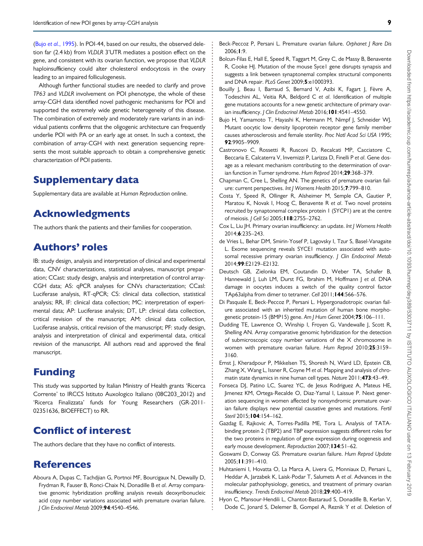<span id="page-8-0"></span>(Bujo et al., 1995). In POI-44, based on our results, the observed deletion far (2.4 kb) from VLDLR 3'UTR mediates a position effect on the gene, and consistent with its ovarian function, we propose that VLDLR haploinsufficiency could alter cholesterol endocytosis in the ovary leading to an impaired folliculogenesis.

Although further functional studies are needed to clarify and prove TP63 and VLDLR involvement on POI phenotype, the whole of these array-CGH data identified novel pathogenic mechanisms for POI and supported the extremely wide genetic heterogeneity of this disease. The combination of extremely and moderately rare variants in an individual patients confirms that the oligogenic architecture can frequently underlie POI with PA or an early age at onset. In such a context, the combination of array-CGH with next generation sequencing represents the most suitable approach to obtain a comprehensive genetic characterization of POI patients.

# Supplementary data

Supplementary data are available at Human Reproduction online.

# Acknowledgments

The authors thank the patients and their families for cooperation.

# Authors' roles

IB: study design, analysis and interpretation of clinical and experimental data, CNV characterizations, statistical analyses, manuscript preparation; CCast: study design, analysis and interpretation of control array-CGH data; AS: qPCR analyses for CNVs characterization; CCasl: Luciferase analysis, RT-qPCR; CS: clinical data collection, statistical analysis; RR, IF: clinical data collection; MC: interpretation of experimental data; AP: Luciferase analysis; DT, LP: clinical data collection, critical revision of the manuscript; AM: clinical data collection, Luciferase analysis, critical revision of the manuscript; PF: study design, analysis and interpretation of clinical and experimental data, critical revision of the manuscript. All authors read and approved the final manuscript.

# Funding

This study was supported by Italian Ministry of Health grants 'Ricerca Corrente' to IRCCS Istituto Auxologico Italiano (08C203\_2012) and 'Ricerca Finalizzata' funds for Young Researchers (GR-2011- 02351636, BIOEFFECT) to RR.

# Conflict of interest

The authors declare that they have no conflict of interests.

# References

Aboura A, Dupas C, Tachdjian G, Portnoi MF, Bourcigaux N, Dewailly D, Frydman R, Fauser B, Ronci-Chaix N, Donadille B et al. Array comparative genomic hybridization profiling analysis reveals deoxyribonucleic acid copy number variations associated with premature ovarian failure. J Clin Endocrinol Metab 2009;94:4540–4546.

- Beck-Peccoz P. Persani L. Premature ovarian failure. Orbhanet I Rare Dis 2006;1:9.
- Bolcun-Filas E, Hall E, Speed R, Taggart M, Grey C, de Massy B, Benavente R, Cooke HJ. Mutation of the mouse Syce1 gene disrupts synapsis and suggests a link between synaptonemal complex structural components and DNA repair. PLoS Genet 2009;5:e1000393.
- Bouilly J, Beau J, Barraud S, Bernard V, Azibi K, Fagart J, Fèvre A, Todeschini AL, Veitia RA, Beldjord C et al. Identification of multiple gene mutations accounts for a new genetic architecture of primary ovarian insufficiency. J Clin Endocrinol Metab 2016;101:4541-4550.
- Bujo H, Yamamoto T, Hayashi K, Hermann M, Nimpf J, Schneider WJ. Mutant oocytic low density lipoprotein receptor gene family member causes atherosclerosis and female sterility. Proc Natl Acad Sci USA 1995; 92:9905–9909.
- Castronovo C, Rossetti R, Rusconi D, Recalcati MP, Cacciatore C, Beccaria E, Calcaterra V, Invernizzi P, Larizza D, Finelli P et al. Gene dosage as a relevant mechanism contributing to the determination of ovarian function in Turner syndrome. Hum Reprod 2014;29:368–379.
- Chapman C, Cree L, Shelling AN. The genetics of premature ovarian failure: current perspectives. Int J Womens Health 2015;7:799–810.
- Costa Y, Speed R, Ollinger R, Alsheimer M, Semple CA, Gautier P, Maratou K, Novak I, Hoog C, Benavente R et al. Two novel proteins recruited by synaptonemal complex protein 1 (SYCP1) are at the centre of meiosis. *| Cell Sci* 2005; **| 18**:2755-2762.
- Cox L, Liu JH. Primary ovarian insufficiency: an update. Int J Womens Health 2014;6:235–243.
- de Vries L, Behar DM, Smirin-Yosef P, Lagovsky I, Tzur S, Basel-Vanagaite L. Exome sequencing reveals SYCE1 mutation associated with autosomal recessive primary ovarian insufficiency. J Clin Endocrinol Metab 2014;99:E2129–E2132.
- Deutsch GB, Zielonka EM, Coutandin D, Weber TA, Schafer B, Hannewald J, Luh LM, Durst FG, Ibrahim M, Hoffmann J et al. DNA damage in oocytes induces a switch of the quality control factor TAp63alpha from dimer to tetramer. Cell 2011;144:566–576.
- Di Pasquale E, Beck-Peccoz P, Persani L. Hypergonadotropic ovarian failure associated with an inherited mutation of human bone morphogenetic protein-15 (BMP15) gene. Am J Hum Genet 2004;75:106-111.
- Dudding TE, Lawrence O, Winship I, Froyen G, Vandewalle J, Scott R, Shelling AN. Array comparative genomic hybridization for the detection of submicroscopic copy number variations of the X chromosome in women with premature ovarian failure. Hum Reprod 2010;25:3159– 3160.
- Ernst J, Kheradpour P, Mikkelsen TS, Shoresh N, Ward LD, Epstein CB, Zhang X, Wang L, Issner R, Coyne M et al. Mapping and analysis of chromatin state dynamics in nine human cell types. Nature 2011;473:43-49.
- Fonseca DJ, Patino LC, Suarez YC, de Jesus Rodriguez A, Mateus HE, Jimenez KM, Ortega-Recalde O, Diaz-Yamal I, Laissue P. Next generation sequencing in women affected by nonsyndromic premature ovarian failure displays new potential causative genes and mutations. Fertil Steril 2015; **104**: 154–162.
- Gazdag E, Rajkovic A, Torres-Padilla ME, Tora L. Analysis of TATAbinding protein 2 (TBP2) and TBP expression suggests different roles for the two proteins in regulation of gene expression during oogenesis and early mouse development. Reproduction 2007; 134:51-62.
- Goswami D, Conway GS. Premature ovarian failure. Hum Reprod Update 2005;11:391–410.
- Huhtaniemi I, Hovatta O, La Marca A, Livera G, Monniaux D, Persani L, Heddar A, Jarzabek K, Laisk-Podar T, Salumets A et al. Advances in the molecular pathophysiology, genetics, and treatment of primary ovarian insufficiency. Trends Endocrinol Metab 2018;29:400–419.
- Hyon C, Mansour-Hendili L, Chantot-Bastaraud S, Donadille B, Kerlan V, Dode C, Jonard S, Delemer B, Gompel A, Reznik Y et al. Deletion of